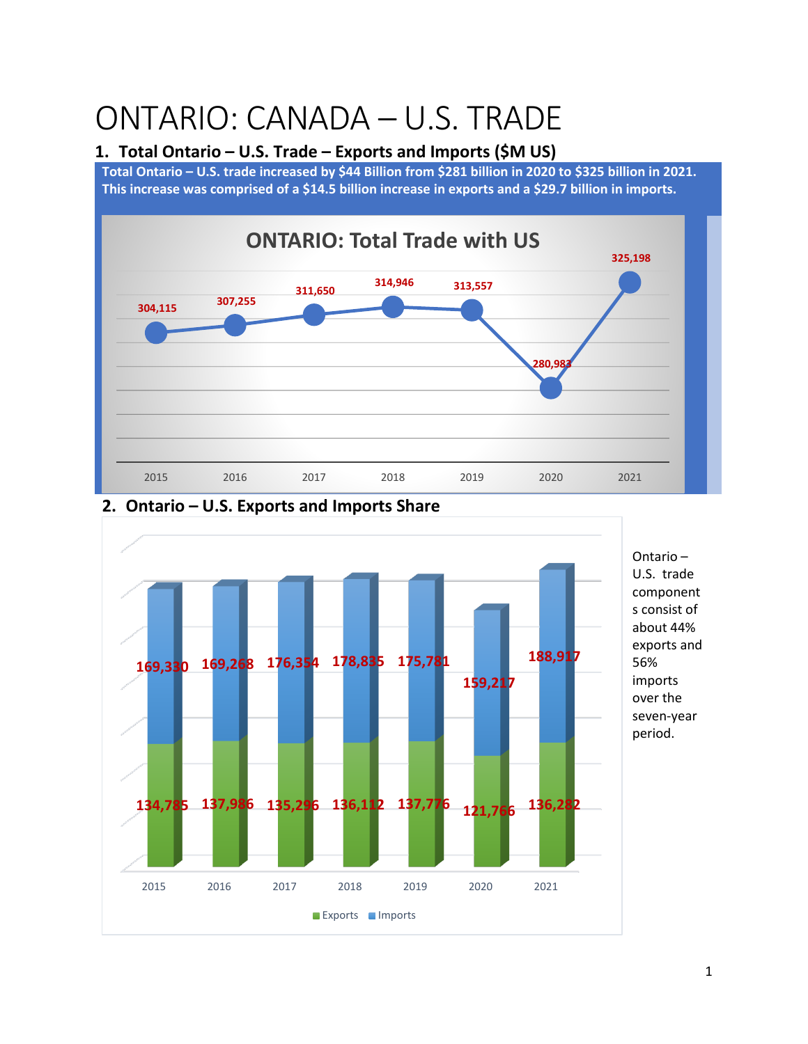# ONTARIO: CANADA – U.S. TRADE

#### **1. Total Ontario – U.S. Trade – Exports and Imports (\$M US)**

**Total Ontario – U.S. trade increased by \$44 Billion from \$281 billion in 2020 to \$325 billion in 2021. This increase was comprised of a \$14.5 billion increase in exports and a \$29.7 billion in imports.** 







1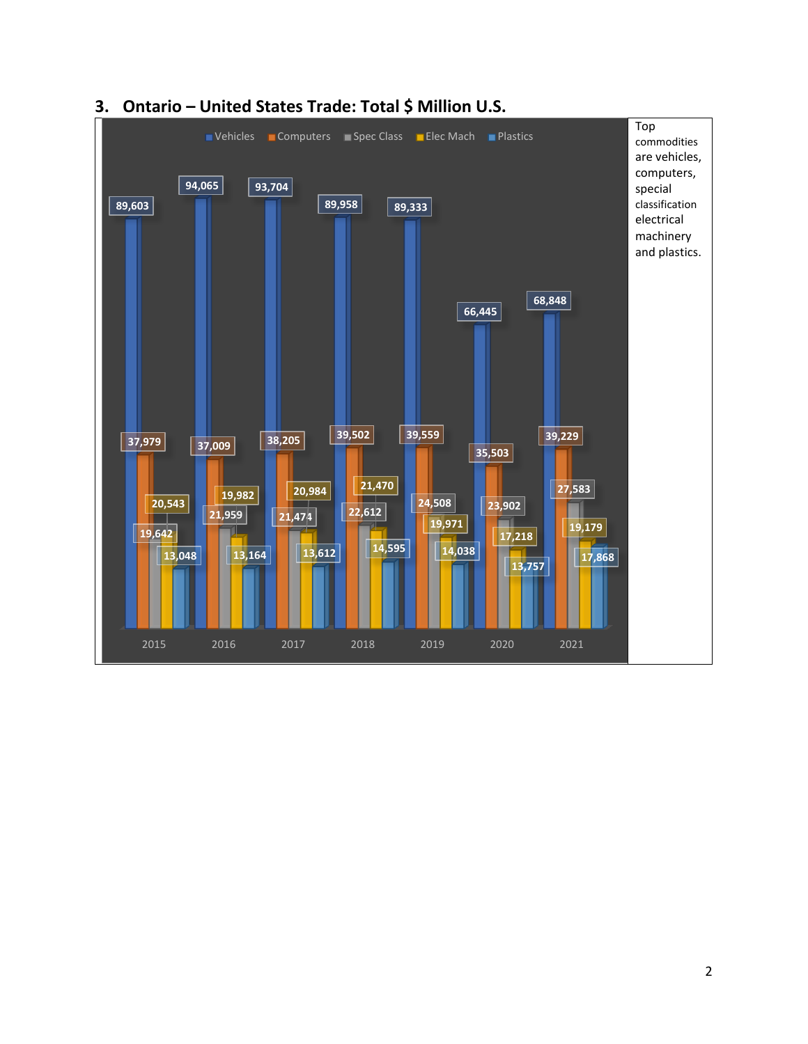

#### **3. Ontario – United States Trade: Total \$ Million U.S.**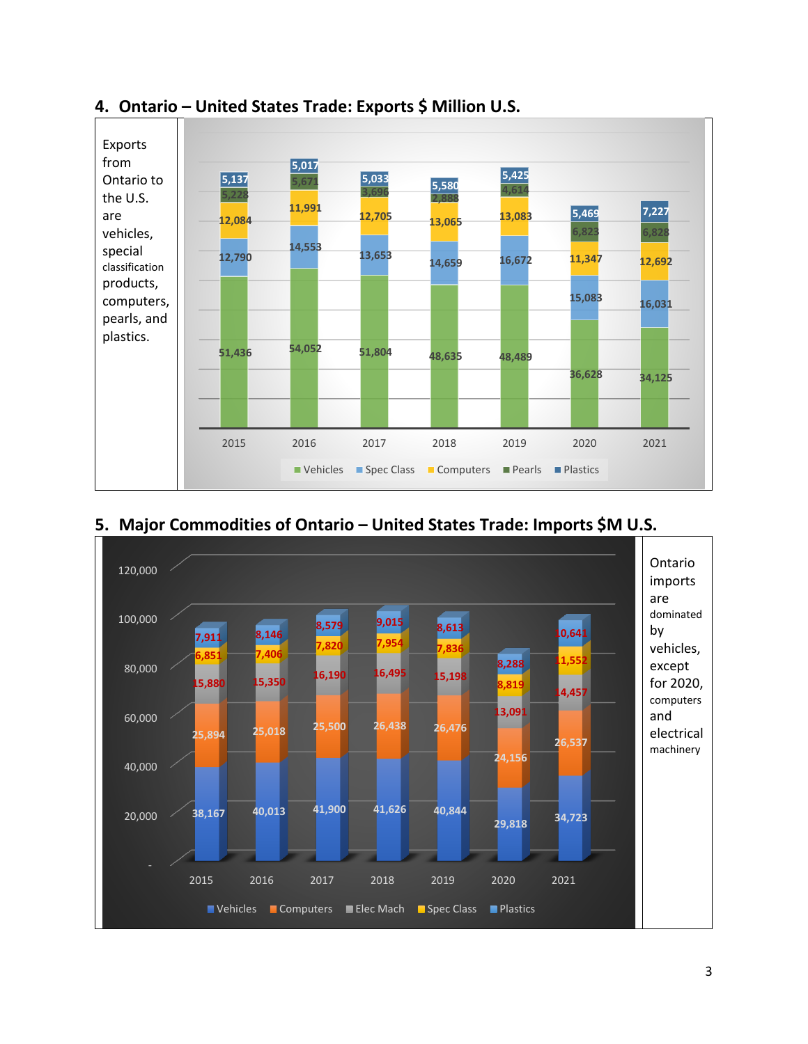

### **4. Ontario – United States Trade: Exports \$ Million U.S.**



## **5. Major Commodities of Ontario – United States Trade: Imports \$M U.S.**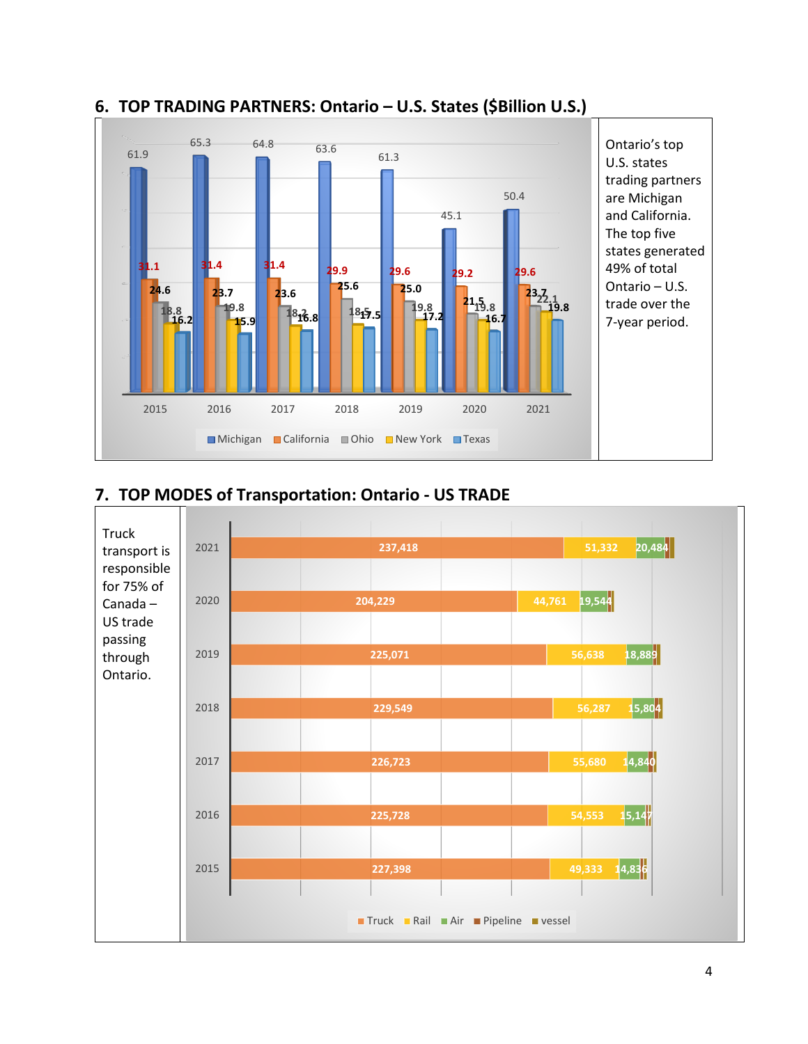

## **6. TOP TRADING PARTNERS: Ontario – U.S. States (\$Billion U.S.)**

# **7. TOP MODES of Transportation: Ontario - US TRADE**

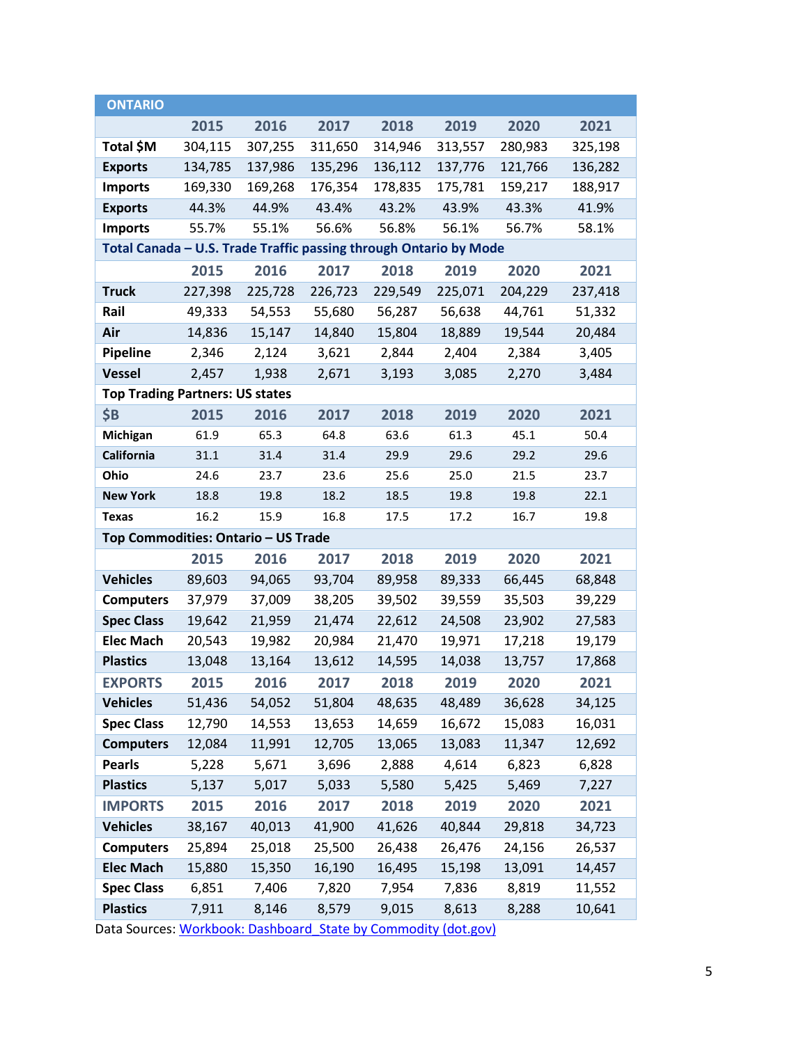| <b>ONTARIO</b>                                                    |         |         |         |         |         |         |         |
|-------------------------------------------------------------------|---------|---------|---------|---------|---------|---------|---------|
|                                                                   | 2015    | 2016    | 2017    | 2018    | 2019    | 2020    | 2021    |
| Total \$M                                                         | 304,115 | 307,255 | 311,650 | 314,946 | 313,557 | 280,983 | 325,198 |
| <b>Exports</b>                                                    | 134,785 | 137,986 | 135,296 | 136,112 | 137,776 | 121,766 | 136,282 |
| <b>Imports</b>                                                    | 169,330 | 169,268 | 176,354 | 178,835 | 175,781 | 159,217 | 188,917 |
| <b>Exports</b>                                                    | 44.3%   | 44.9%   | 43.4%   | 43.2%   | 43.9%   | 43.3%   | 41.9%   |
| <b>Imports</b>                                                    | 55.7%   | 55.1%   | 56.6%   | 56.8%   | 56.1%   | 56.7%   | 58.1%   |
| Total Canada - U.S. Trade Traffic passing through Ontario by Mode |         |         |         |         |         |         |         |
|                                                                   | 2015    | 2016    | 2017    | 2018    | 2019    | 2020    | 2021    |
| <b>Truck</b>                                                      | 227,398 | 225,728 | 226,723 | 229,549 | 225,071 | 204,229 | 237,418 |
| Rail                                                              | 49,333  | 54,553  | 55,680  | 56,287  | 56,638  | 44,761  | 51,332  |
| Air                                                               | 14,836  | 15,147  | 14,840  | 15,804  | 18,889  | 19,544  | 20,484  |
| <b>Pipeline</b>                                                   | 2,346   | 2,124   | 3,621   | 2,844   | 2,404   | 2,384   | 3,405   |
| <b>Vessel</b>                                                     | 2,457   | 1,938   | 2,671   | 3,193   | 3,085   | 2,270   | 3,484   |
| <b>Top Trading Partners: US states</b>                            |         |         |         |         |         |         |         |
| <b>\$B</b>                                                        | 2015    | 2016    | 2017    | 2018    | 2019    | 2020    | 2021    |
| Michigan                                                          | 61.9    | 65.3    | 64.8    | 63.6    | 61.3    | 45.1    | 50.4    |
| California                                                        | 31.1    | 31.4    | 31.4    | 29.9    | 29.6    | 29.2    | 29.6    |
| Ohio                                                              | 24.6    | 23.7    | 23.6    | 25.6    | 25.0    | 21.5    | 23.7    |
| <b>New York</b>                                                   | 18.8    | 19.8    | 18.2    | 18.5    | 19.8    | 19.8    | 22.1    |
| <b>Texas</b>                                                      | 16.2    | 15.9    | 16.8    | 17.5    | 17.2    | 16.7    | 19.8    |
| Top Commodities: Ontario - US Trade                               |         |         |         |         |         |         |         |
|                                                                   | 2015    | 2016    | 2017    | 2018    | 2019    | 2020    | 2021    |
| <b>Vehicles</b>                                                   | 89,603  | 94,065  | 93,704  | 89,958  | 89,333  | 66,445  | 68,848  |
| <b>Computers</b>                                                  | 37,979  | 37,009  | 38,205  | 39,502  | 39,559  | 35,503  | 39,229  |
| <b>Spec Class</b>                                                 | 19,642  | 21,959  | 21,474  | 22,612  | 24,508  | 23,902  | 27,583  |
| <b>Elec Mach</b>                                                  | 20,543  | 19,982  | 20,984  | 21,470  | 19,971  | 17,218  | 19,179  |
| <b>Plastics</b>                                                   | 13,048  | 13,164  | 13,612  | 14,595  | 14,038  | 13,757  | 17,868  |
| <b>EXPORTS</b>                                                    | 2015    | 2016    | 2017    | 2018    | 2019    | 2020    | 2021    |
| <b>Vehicles</b>                                                   | 51,436  | 54,052  | 51,804  | 48,635  | 48,489  | 36,628  | 34,125  |
| <b>Spec Class</b>                                                 | 12,790  | 14,553  | 13,653  | 14,659  | 16,672  | 15,083  | 16,031  |
| <b>Computers</b>                                                  | 12,084  | 11,991  | 12,705  | 13,065  | 13,083  | 11,347  | 12,692  |
| <b>Pearls</b>                                                     | 5,228   | 5,671   | 3,696   | 2,888   | 4,614   | 6,823   | 6,828   |
| <b>Plastics</b>                                                   | 5,137   | 5,017   | 5,033   | 5,580   | 5,425   | 5,469   | 7,227   |
| <b>IMPORTS</b>                                                    | 2015    | 2016    | 2017    | 2018    | 2019    | 2020    | 2021    |
| <b>Vehicles</b>                                                   | 38,167  | 40,013  | 41,900  | 41,626  | 40,844  | 29,818  | 34,723  |
| <b>Computers</b>                                                  | 25,894  | 25,018  | 25,500  | 26,438  | 26,476  | 24,156  | 26,537  |
| <b>Elec Mach</b>                                                  | 15,880  | 15,350  | 16,190  | 16,495  | 15,198  | 13,091  | 14,457  |
| <b>Spec Class</b>                                                 | 6,851   | 7,406   | 7,820   | 7,954   | 7,836   | 8,819   | 11,552  |
| <b>Plastics</b>                                                   | 7,911   | 8,146   | 8,579   | 9,015   | 8,613   | 8,288   | 10,641  |

Data Sources: [Workbook: Dashboard\\_State by Commodity \(dot.gov\)](https://explore.dot.gov/views/Dashboard_StatebyCommodity_16297324905170/CanadianProvinces?%3Aiid=1&%3AisGuestRedirectFromVizportal=y&%3Aembed=y)